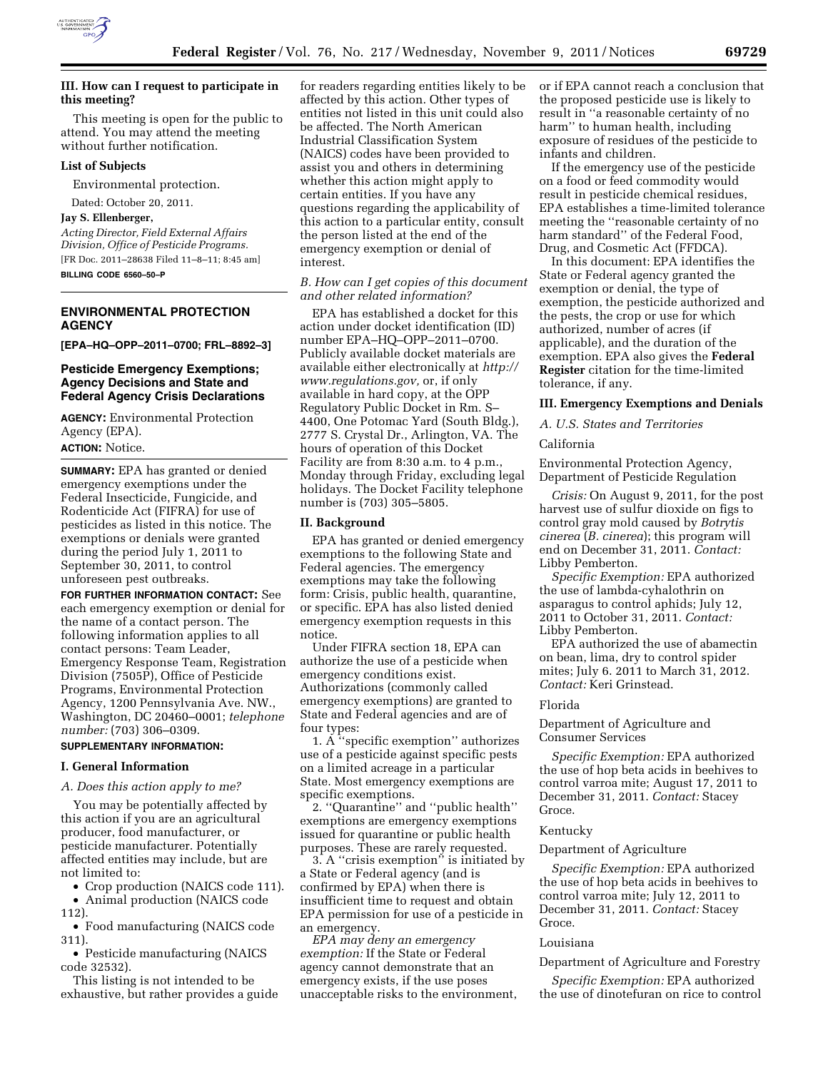

# **III. How can I request to participate in this meeting?**

This meeting is open for the public to attend. You may attend the meeting without further notification.

### **List of Subjects**

Environmental protection.

Dated: October 20, 2011.

# **Jay S. Ellenberger,**

*Acting Director, Field External Affairs Division, Office of Pesticide Programs.*  [FR Doc. 2011–28638 Filed 11–8–11; 8:45 am] **BILLING CODE 6560–50–P** 

# **ENVIRONMENTAL PROTECTION AGENCY**

**[EPA–HQ–OPP–2011–0700; FRL–8892–3]** 

## **Pesticide Emergency Exemptions; Agency Decisions and State and Federal Agency Crisis Declarations**

**AGENCY:** Environmental Protection Agency (EPA). **ACTION:** Notice.

**SUMMARY:** EPA has granted or denied emergency exemptions under the Federal Insecticide, Fungicide, and Rodenticide Act (FIFRA) for use of pesticides as listed in this notice. The exemptions or denials were granted during the period July 1, 2011 to September 30, 2011, to control unforeseen pest outbreaks.

**FOR FURTHER INFORMATION CONTACT:** See each emergency exemption or denial for the name of a contact person. The following information applies to all contact persons: Team Leader, Emergency Response Team, Registration Division (7505P), Office of Pesticide Programs, Environmental Protection Agency, 1200 Pennsylvania Ave. NW., Washington, DC 20460–0001; *telephone number:* (703) 306–0309.

# **SUPPLEMENTARY INFORMATION:**

## **I. General Information**

## *A. Does this action apply to me?*

You may be potentially affected by this action if you are an agricultural producer, food manufacturer, or pesticide manufacturer. Potentially affected entities may include, but are not limited to:

• Crop production (NAICS code 111).

• Animal production (NAICS code 112).

• Food manufacturing (NAICS code 311).

• Pesticide manufacturing (NAICS code 32532).

This listing is not intended to be exhaustive, but rather provides a guide for readers regarding entities likely to be affected by this action. Other types of entities not listed in this unit could also be affected. The North American Industrial Classification System (NAICS) codes have been provided to assist you and others in determining whether this action might apply to certain entities. If you have any questions regarding the applicability of this action to a particular entity, consult the person listed at the end of the emergency exemption or denial of interest.

# *B. How can I get copies of this document and other related information?*

EPA has established a docket for this action under docket identification (ID) number EPA–HQ–OPP–2011–0700. Publicly available docket materials are available either electronically at *[http://](http://www.regulations.gov) [www.regulations.gov,](http://www.regulations.gov)* or, if only available in hard copy, at the OPP Regulatory Public Docket in Rm. S– 4400, One Potomac Yard (South Bldg.), 2777 S. Crystal Dr., Arlington, VA. The hours of operation of this Docket Facility are from 8:30 a.m. to 4 p.m., Monday through Friday, excluding legal holidays. The Docket Facility telephone number is (703) 305–5805.

#### **II. Background**

EPA has granted or denied emergency exemptions to the following State and Federal agencies. The emergency exemptions may take the following form: Crisis, public health, quarantine, or specific. EPA has also listed denied emergency exemption requests in this notice.

Under FIFRA section 18, EPA can authorize the use of a pesticide when emergency conditions exist. Authorizations (commonly called emergency exemptions) are granted to State and Federal agencies and are of four types:

1. A ''specific exemption'' authorizes use of a pesticide against specific pests on a limited acreage in a particular State. Most emergency exemptions are specific exemptions.

2. ''Quarantine'' and ''public health'' exemptions are emergency exemptions issued for quarantine or public health purposes. These are rarely requested.

3. A ''crisis exemption'' is initiated by a State or Federal agency (and is confirmed by EPA) when there is insufficient time to request and obtain EPA permission for use of a pesticide in an emergency.

*EPA may deny an emergency exemption:* If the State or Federal agency cannot demonstrate that an emergency exists, if the use poses unacceptable risks to the environment, or if EPA cannot reach a conclusion that the proposed pesticide use is likely to result in ''a reasonable certainty of no harm'' to human health, including exposure of residues of the pesticide to infants and children.

If the emergency use of the pesticide on a food or feed commodity would result in pesticide chemical residues, EPA establishes a time-limited tolerance meeting the ''reasonable certainty of no harm standard'' of the Federal Food, Drug, and Cosmetic Act (FFDCA).

In this document: EPA identifies the State or Federal agency granted the exemption or denial, the type of exemption, the pesticide authorized and the pests, the crop or use for which authorized, number of acres (if applicable), and the duration of the exemption. EPA also gives the **Federal Register** citation for the time-limited tolerance, if any.

#### **III. Emergency Exemptions and Denials**

*A. U.S. States and Territories* 

### California

Environmental Protection Agency, Department of Pesticide Regulation

*Crisis:* On August 9, 2011, for the post harvest use of sulfur dioxide on figs to control gray mold caused by *Botrytis cinerea* (*B. cinerea*); this program will end on December 31, 2011. *Contact:*  Libby Pemberton.

*Specific Exemption:* EPA authorized the use of lambda-cyhalothrin on asparagus to control aphids; July 12, 2011 to October 31, 2011. *Contact:*  Libby Pemberton.

EPA authorized the use of abamectin on bean, lima, dry to control spider mites; July 6. 2011 to March 31, 2012. *Contact:* Keri Grinstead.

#### Florida

Department of Agriculture and Consumer Services

*Specific Exemption:* EPA authorized the use of hop beta acids in beehives to control varroa mite; August 17, 2011 to December 31, 2011. *Contact:* Stacey Groce.

## Kentucky

#### Department of Agriculture

*Specific Exemption:* EPA authorized the use of hop beta acids in beehives to control varroa mite; July 12, 2011 to December 31, 2011. *Contact:* Stacey Groce.

### Louisiana

Department of Agriculture and Forestry

*Specific Exemption:* EPA authorized the use of dinotefuran on rice to control